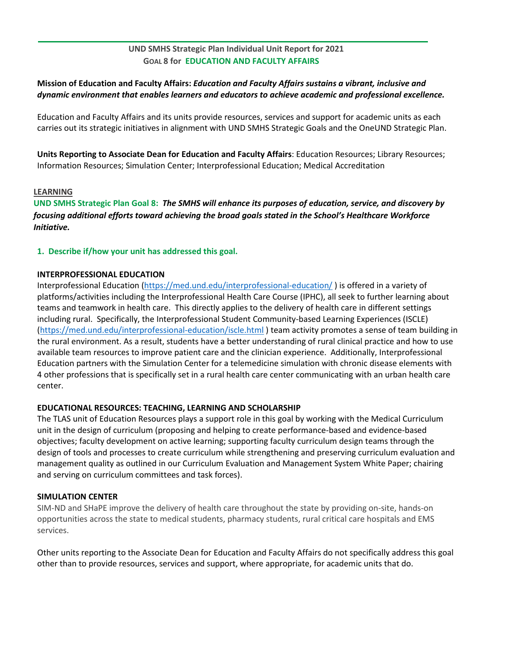# **UND SMHS Strategic Plan Individual Unit Report for 2021 GOAL 8 for EDUCATION AND FACULTY AFFAIRS**

# **Mission of Education and Faculty Affairs:** *Education and Faculty Affairs sustains a vibrant, inclusive and dynamic environment that enables learners and educators to achieve academic and professional excellence.*

Education and Faculty Affairs and its units provide resources, services and support for academic units as each carries out its strategic initiatives in alignment with UND SMHS Strategic Goals and the OneUND Strategic Plan.

**Units Reporting to Associate Dean for Education and Faculty Affairs**: Education Resources; Library Resources; Information Resources; Simulation Center; Interprofessional Education; Medical Accreditation

### **LEARNING**

**UND SMHS Strategic Plan Goal 8:** *The SMHS will enhance its purposes of education, service, and discovery by focusing additional efforts toward achieving the broad goals stated in the School's Healthcare Workforce Initiative.*

# **1. Describe if/how your unit has addressed this goal.**

# **INTERPROFESSIONAL EDUCATION**

Interprofessional Education [\(https://med.und.edu/interprofessional-education/](https://med.und.edu/interprofessional-education/)) is offered in a variety of platforms/activities including the Interprofessional Health Care Course (IPHC), all seek to further learning about teams and teamwork in health care. This directly applies to the delivery of health care in different settings including rural. Specifically, the Interprofessional Student Community-based Learning Experiences (ISCLE) [\(https://med.und.edu/interprofessional-education/iscle.html](https://med.und.edu/interprofessional-education/iscle.html) ) team activity promotes a sense of team building in the rural environment. As a result, students have a better understanding of rural clinical practice and how to use available team resources to improve patient care and the clinician experience. Additionally, Interprofessional Education partners with the Simulation Center for a telemedicine simulation with chronic disease elements with 4 other professions that is specifically set in a rural health care center communicating with an urban health care center.

# **EDUCATIONAL RESOURCES: TEACHING, LEARNING AND SCHOLARSHIP**

The TLAS unit of Education Resources plays a support role in this goal by working with the Medical Curriculum unit in the design of curriculum (proposing and helping to create performance-based and evidence-based objectives; faculty development on active learning; supporting faculty curriculum design teams through the design of tools and processes to create curriculum while strengthening and preserving curriculum evaluation and management quality as outlined in our Curriculum Evaluation and Management System White Paper; chairing and serving on curriculum committees and task forces).

# **SIMULATION CENTER**

SIM-ND and SHaPE improve the delivery of health care throughout the state by providing on-site, hands-on opportunities across the state to medical students, pharmacy students, rural critical care hospitals and EMS services.

Other units reporting to the Associate Dean for Education and Faculty Affairs do not specifically address this goal other than to provide resources, services and support, where appropriate, for academic units that do.